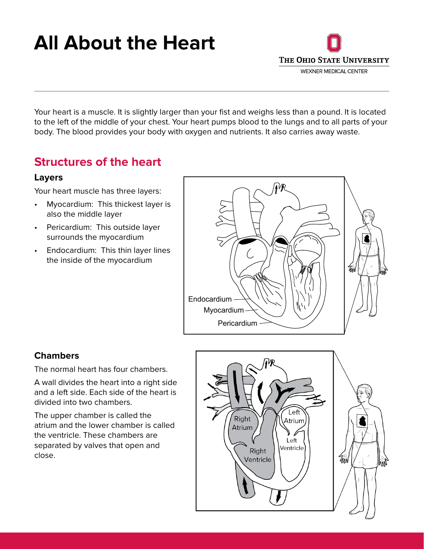# **All About the Heart**



Your heart is a muscle. It is slightly larger than your fist and weighs less than a pound. It is located to the left of the middle of your chest. Your heart pumps blood to the lungs and to all parts of your body. The blood provides your body with oxygen and nutrients. It also carries away waste.

## **Structures of the heart**

#### **Layers**

Your heart muscle has three layers:

- Myocardium: This thickest layer is also the middle layer
- Pericardium: This outside layer surrounds the myocardium
- Endocardium: This thin layer lines the inside of the myocardium



#### **Chambers**

The normal heart has four chambers.

A wall divides the heart into a right side and a left side. Each side of the heart is divided into two chambers.

The upper chamber is called the atrium and the lower chamber is called the ventricle. These chambers are separated by valves that open and close.

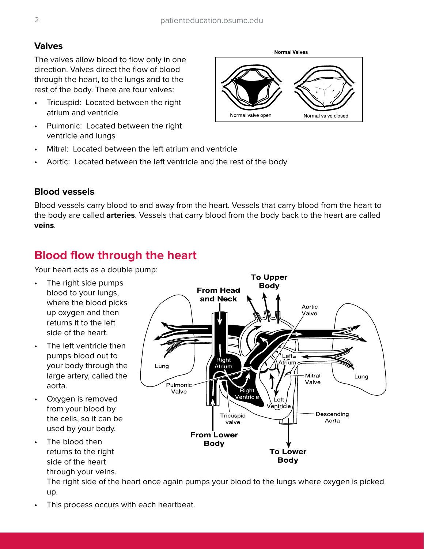#### **Valves**

The valves allow blood to flow only in one direction. Valves direct the flow of blood through the heart, to the lungs and to the rest of the body. There are four valves:

- Tricuspid: Located between the right atrium and ventricle
- Pulmonic: Located between the right ventricle and lungs
- Mitral: Located between the left atrium and ventricle
- Aortic: Located between the left ventricle and the rest of the body

#### **Blood vessels**

Blood vessels carry blood to and away from the heart. Vessels that carry blood from the heart to the body are called **arteries**. Vessels that carry blood from the body back to the heart are called **veins**.

## **Blood flow through the heart**

Your heart acts as a double pump:

- The right side pumps blood to your lungs, where the blood picks up oxygen and then returns it to the left side of the heart.
- The left ventricle then pumps blood out to your body through the large artery, called the aorta.
- Oxygen is removed from your blood by the cells, so it can be used by your body.
- The blood then returns to the right side of the heart through your veins.

The right side of the heart once again pumps your blood to the lungs where oxygen is picked up.

This process occurs with each heartbeat.



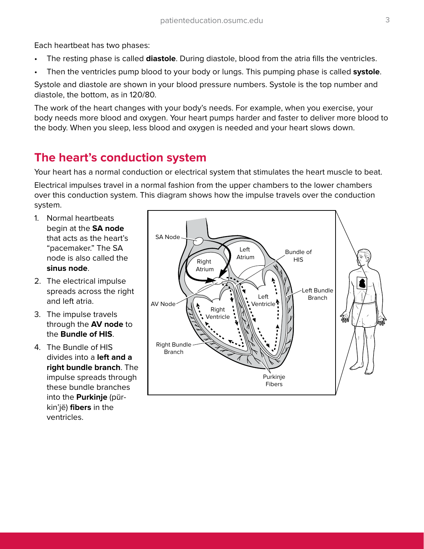Each heartbeat has two phases:

- The resting phase is called **diastole**. During diastole, blood from the atria fills the ventricles.
- Then the ventricles pump blood to your body or lungs. This pumping phase is called **systole**.

Systole and diastole are shown in your blood pressure numbers. Systole is the top number and diastole, the bottom, as in 120/80.

The work of the heart changes with your body's needs. For example, when you exercise, your body needs more blood and oxygen. Your heart pumps harder and faster to deliver more blood to the body. When you sleep, less blood and oxygen is needed and your heart slows down.

## **The heart's conduction system**

Your heart has a normal conduction or electrical system that stimulates the heart muscle to beat.

Electrical impulses travel in a normal fashion from the upper chambers to the lower chambers over this conduction system. This diagram shows how the impulse travels over the conduction system.

- 1. Normal heartbeats begin at the **SA node** that acts as the heart's "pacemaker." The SA node is also called the **sinus node**.
- 2. The electrical impulse spreads across the right and left atria.
- 3. The impulse travels through the **AV node** to the **Bundle of HIS**.
- 4. The Bundle of HIS divides into a **left and a right bundle branch**. The impulse spreads through these bundle branches into the **Purkinje** (pŭrkin'jē) **fibers** in the ventricles.

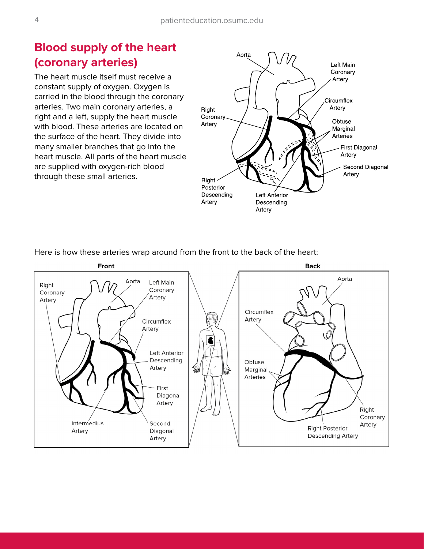# **Blood supply of the heart (coronary arteries)**

The heart muscle itself must receive a constant supply of oxygen. Oxygen is carried in the blood through the coronary arteries. Two main coronary arteries, a right and a left, supply the heart muscle with blood. These arteries are located on the surface of the heart. They divide into many smaller branches that go into the heart muscle. All parts of the heart muscle are supplied with oxygen-rich blood through these small arteries.



Here is how these arteries wrap around from the front to the back of the heart: